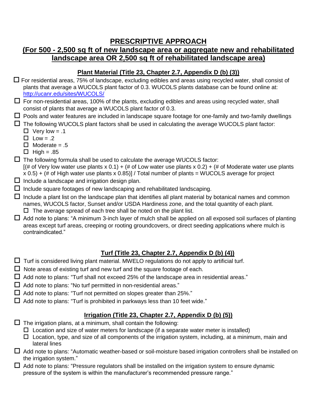## **PRESCRIPTIVE APPROACH**

# **(For 500 - 2,500 sq ft of new landscape area or aggregate new and rehabilitated landscape area OR 2,500 sq ft of rehabilitated landscape area)**

#### **Plant Material (Title 23, Chapter 2.7, Appendix D (b) (3))**

- For residential areas, 75% of landscape, excluding edibles and areas using recycled water, shall consist of plants that average a WUCOLS plant factor of 0.3. WUCOLS plants database can be found online at: <http://ucanr.edu/sites/WUCOLS/>
- $\Box$  For non-residential areas, 100% of the plants, excluding edibles and areas using recycled water, shall consist of plants that average a WUCOLS plant factor of 0.3.
- $\Box$  Pools and water features are included in landscape square footage for one-family and two-family dwellings
- $\Box$  The following WUCOLS plant factors shall be used in calculating the average WUCOLS plant factor:
	- $\Box$  Very low = .1
	- $\Box$  Low = .2
	- $\Box$  Moderate = .5
	- $\Box$  High = .85
- $\Box$  The following formula shall be used to calculate the average WUCOLS factor:  $[(# of Very low water use plants x 0.1) + ( $\# of Low water$  use plants) and (# of Words x 0.2) + ( $\# of Model$  and the total rate.$  $x$  0.5) + (# of High water use plants x 0.85)] / Total number of plants = WUCOLS average for project
- $\square$  Include a landscape and irrigation design plan.
- $\Box$  Include square footages of new landscaping and rehabilitated landscaping.
- $\Box$  Include a plant list on the landscape plan that identifies all plant material by botanical names and common names, WUCOLS factor, Sunset and/or USDA Hardiness zone, and the total quantity of each plant.  $\square$  The average spread of each tree shall be noted on the plant list.
- $\Box$  Add note to plans: "A minimum 3-inch layer of mulch shall be applied on all exposed soil surfaces of planting areas except turf areas, creeping or rooting groundcovers, or direct seeding applications where mulch is contraindicated."

## **Turf (Title 23, Chapter 2.7, Appendix D (b) (4))**

- $\Box$  Turf is considered living plant material. MWELO regulations do not apply to artificial turf.
- $\Box$  Note areas of existing turf and new turf and the square footage of each.
- $\Box$  Add note to plans: "Turf shall not exceed 25% of the landscape area in residential areas."
- $\Box$  Add note to plans: "No turf permitted in non-residential areas."
- $\Box$  Add note to plans: "Turf not permitted on slopes greater than 25%."
- $\Box$  Add note to plans: "Turf is prohibited in parkways less than 10 feet wide."

## **Irrigation (Title 23, Chapter 2.7, Appendix D (b) (5))**

- $\square$  The irrigation plans, at a minimum, shall contain the following:
	- $\Box$  Location and size of water meters for landscape (if a separate water meter is installed)
	- $\Box$  Location, type, and size of all components of the irrigation system, including, at a minimum, main and lateral lines
- $\Box$  Add note to plans: "Automatic weather-based or soil-moisture based irrigation controllers shall be installed on the irrigation system."
- $\Box$  Add note to plans: "Pressure regulators shall be installed on the irrigation system to ensure dynamic pressure of the system is within the manufacturer's recommended pressure range."